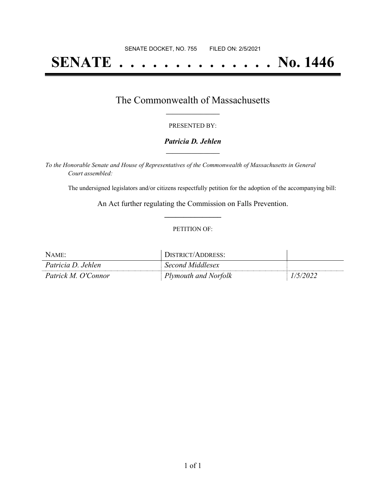# **SENATE . . . . . . . . . . . . . . No. 1446**

## The Commonwealth of Massachusetts **\_\_\_\_\_\_\_\_\_\_\_\_\_\_\_\_\_**

#### PRESENTED BY:

#### *Patricia D. Jehlen* **\_\_\_\_\_\_\_\_\_\_\_\_\_\_\_\_\_**

*To the Honorable Senate and House of Representatives of the Commonwealth of Massachusetts in General Court assembled:*

The undersigned legislators and/or citizens respectfully petition for the adoption of the accompanying bill:

An Act further regulating the Commission on Falls Prevention. **\_\_\_\_\_\_\_\_\_\_\_\_\_\_\_**

#### PETITION OF:

| NAME:               | JISTRICT/ADDRESS:    |         |
|---------------------|----------------------|---------|
| Patricia D. Jehlen  | Second Middlesex     |         |
| Patrick M. O'Connor | Plymouth and Norfolk | (5/202) |